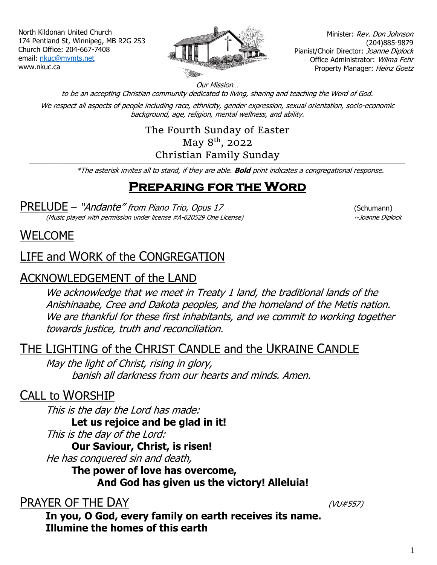North Kildonan United Church 174 Pentland St, Winnipeg, MB R2G 2S3 Church Office: 204-667-7408 email: [nkuc@mymts.net](mailto:nkuc@mymts.net) www.nkuc.ca



Minister: Rev. Don Johnson (204)885-9879 Pianist/Choir Director: Joanne Diplock Office Administrator: Wilma Fehr Property Manager: Heinz Goetz

#### Our Mission…

to be an accepting Christian community dedicated to living, sharing and teaching the Word of God.

We respect all aspects of people including race, ethnicity, gender expression, sexual orientation, socio-economic background, age, religion, mental wellness, and ability.

The Fourth Sunday of Easter May 8<sup>th</sup>, 2022 Christian Family Sunday **\_\_\_\_\_\_\_\_\_\_\_\_\_\_\_\_\_\_\_\_\_\_\_\_\_\_\_\_\_\_\_\_\_\_\_\_\_\_\_\_\_\_\_\_\_\_\_\_\_\_\_\_\_\_\_\_\_\_\_\_\_\_\_\_\_\_\_\_\_\_\_\_\_\_\_\_\_\_\_\_\_\_\_\_\_\_\_\_\_\_\_\_\_\_\_\_\_\_\_\_\_\_\_\_\_\_\_\_\_\_\_\_\_\_\_\_\_\_\_\_\_\_\_\_\_\_\_\_\_\_\_\_\_\_\_\_\_\_\_\_\_\_\_\_\_\_\_\_\_\_\_\_\_\_\_\_\_\_\_\_\_\_\_\_\_\_\_\_\_\_\_\_\_\_\_\_\_\_\_\_\_\_\_\_\_\_\_\_\_\_\_\_\_\_\_\_\_\_\_\_\_\_\_\_\_\_\_**

\*The asterisk invites all to stand, if they are able. **Bold** print indicates a congregational response.

# **Preparing for the Word**

PRELUDE – "Andante" from Piano Trio, Opus 17 (Schumann) (Music played with permission under license #A-620529 One License) ~Joanne Diplock

### WELCOME

### LIFE and WORK of the CONGREGATION

### ACKNOWLEDGEMENT of the LAND

We acknowledge that we meet in Treaty 1 land, the traditional lands of the Anishinaabe, Cree and Dakota peoples, and the homeland of the Metis nation. We are thankful for these first inhabitants, and we commit to working together towards justice, truth and reconciliation.

### THE LIGHTING of the CHRIST CANDLE and the UKRAINE CANDLE

May the light of Christ, rising in glory, banish all darkness from our hearts and minds. Amen.

### CALL to WORSHIP

This is the day the Lord has made: **Let us rejoice and be glad in it!** This is the day of the Lord: **Our Saviour, Christ, is risen!** He has conquered sin and death, **The power of love has overcome, And God has given us the victory! Alleluia!**

#### PRAYER OF THE DAY  $(VV#557)$

**In you, O God, every family on earth receives its name. Illumine the homes of this earth**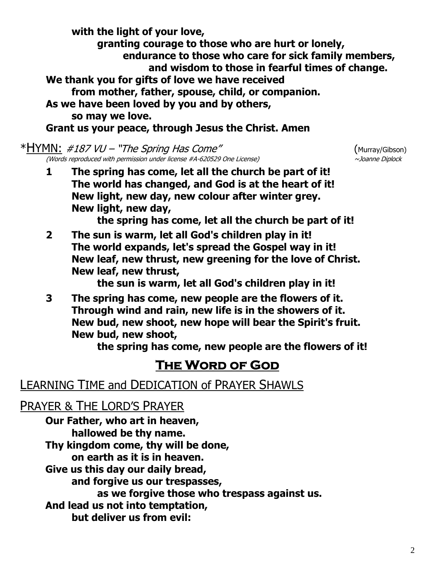**with the light of your love, granting courage to those who are hurt or lonely, endurance to those who care for sick family members, and wisdom to those in fearful times of change. We thank you for gifts of love we have received from mother, father, spouse, child, or companion. As we have been loved by you and by others, so may we love. Grant us your peace, through Jesus the Christ. Amen**

\*HYMN:  $\#187$  VU – "The Spring Has Come" (Murray/Gibson)

(Words reproduced with permission under license #A-620529 One License) ~Joanne Diplock

**1 The spring has come, let all the church be part of it! The world has changed, and God is at the heart of it! New light, new day, new colour after winter grey. New light, new day,**

**the spring has come, let all the church be part of it!**

**2 The sun is warm, let all God's children play in it! The world expands, let's spread the Gospel way in it! New leaf, new thrust, new greening for the love of Christ. New leaf, new thrust,**

**the sun is warm, let all God's children play in it!**

**3 The spring has come, new people are the flowers of it. Through wind and rain, new life is in the showers of it. New bud, new shoot, new hope will bear the Spirit's fruit. New bud, new shoot,**

**the spring has come, new people are the flowers of it!**

# **The Word of God**

# LEARNING TIME and DEDICATION of PRAYER SHAWLS

# PRAYER & THE LORD'S PRAYER

**Our Father, who art in heaven, hallowed be thy name. Thy kingdom come, thy will be done, on earth as it is in heaven. Give us this day our daily bread, and forgive us our trespasses, as we forgive those who trespass against us. And lead us not into temptation, but deliver us from evil:**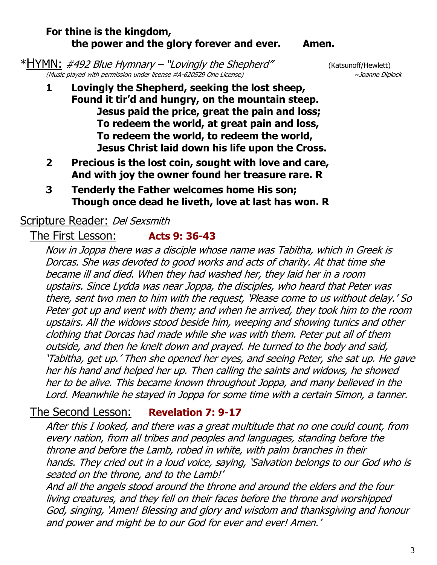#### **For thine is the kingdom, the power and the glory forever and ever. Amen.**

\*HYMN:  $\#492$  Blue Hymnary – "Lovingly the Shepherd" (Katsunoff/Hewlett) (Music played with permission under license #A-620529 One License) ~Joanne Diplock

- **1 Lovingly the Shepherd, seeking the lost sheep, Found it tir'd and hungry, on the mountain steep. Jesus paid the price, great the pain and loss; To redeem the world, at great pain and loss, To redeem the world, to redeem the world, Jesus Christ laid down his life upon the Cross.**
- **2 Precious is the lost coin, sought with love and care, And with joy the owner found her treasure rare. R**
- **3 Tenderly the Father welcomes home His son; Though once dead he liveth, love at last has won. R**

### Scripture Reader: Del Sexsmith

### The First Lesson: **Acts 9: 36-43**

Now in Joppa there was a disciple whose name was Tabitha, which in Greek is Dorcas. She was devoted to good works and acts of charity. At that time she became ill and died. When they had washed her, they laid her in a room upstairs. Since Lydda was near Joppa, the disciples, who heard that Peter was there, sent two men to him with the request, 'Please come to us without delay.' So Peter got up and went with them; and when he arrived, they took him to the room upstairs. All the widows stood beside him, weeping and showing tunics and other clothing that Dorcas had made while she was with them. Peter put all of them outside, and then he knelt down and prayed. He turned to the body and said, 'Tabitha, get up.' Then she opened her eyes, and seeing Peter, she sat up. He gave her his hand and helped her up. Then calling the saints and widows, he showed her to be alive. This became known throughout Joppa, and many believed in the Lord. Meanwhile he stayed in Joppa for some time with a certain Simon, a tanner.

#### The Second Lesson: **Revelation 7: 9-17**

After this I looked, and there was a great multitude that no one could count, from every nation, from all tribes and peoples and languages, standing before the throne and before the Lamb, robed in white, with palm branches in their hands. They cried out in a loud voice, saying, 'Salvation belongs to our God who is seated on the throne, and to the Lamb!'

And all the angels stood around the throne and around the elders and the four living creatures, and they fell on their faces before the throne and worshipped God, singing, 'Amen! Blessing and glory and wisdom and thanksgiving and honour and power and might be to our God for ever and ever! Amen.'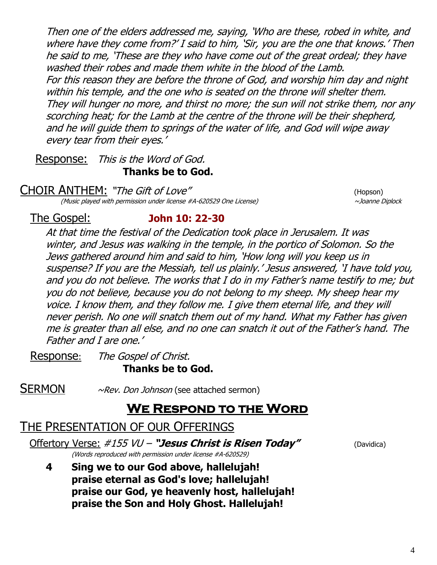Then one of the elders addressed me, saying, 'Who are these, robed in white, and where have they come from?' I said to him, 'Sir, you are the one that knows.' Then he said to me, 'These are they who have come out of the great ordeal; they have washed their robes and made them white in the blood of the Lamb. For this reason they are before the throne of God, and worship him day and night within his temple, and the one who is seated on the throne will shelter them. They will hunger no more, and thirst no more; the sun will not strike them, nor any scorching heat; for the Lamb at the centre of the throne will be their shepherd, and he will guide them to springs of the water of life, and God will wipe away every tear from their eyes.'

Response: This is the Word of God. **Thanks be to God.**

CHOIR ANTHEM: "The Gift of Love" (Music played with permission under license #A-620529 One License) ~Joanne Diplock

#### The Gospel: **John 10: 22-30**

At that time the festival of the Dedication took place in Jerusalem. It was winter, and Jesus was walking in the temple, in the portico of Solomon. So the Jews gathered around him and said to him, 'How long will you keep us in suspense? If you are the Messiah, tell us plainly.' Jesus answered, 'I have told you, and you do not believe. The works that I do in my Father's name testify to me; but you do not believe, because you do not belong to my sheep. My sheep hear my voice. I know them, and they follow me. I give them eternal life, and they will never perish. No one will snatch them out of my hand. What my Father has given me is greater than all else, and no one can snatch it out of the Father's hand. The Father and I are one.'

Response: The Gospel of Christ.

**Thanks be to God.**

 $SERMON$   $\sim$  *Rev. Don Johnson* (see attached sermon)

# **We Respond to the Word**

# THE PRESENTATION OF OUR OFFERINGS

 Offertory Verse: #155 VU – **"Jesus Christ is Risen Today"** (Davidica) (Words reproduced with permission under license #A-620529)

**4 Sing we to our God above, hallelujah! praise eternal as God's love; hallelujah! praise our God, ye heavenly host, hallelujah! praise the Son and Holy Ghost. Hallelujah!**